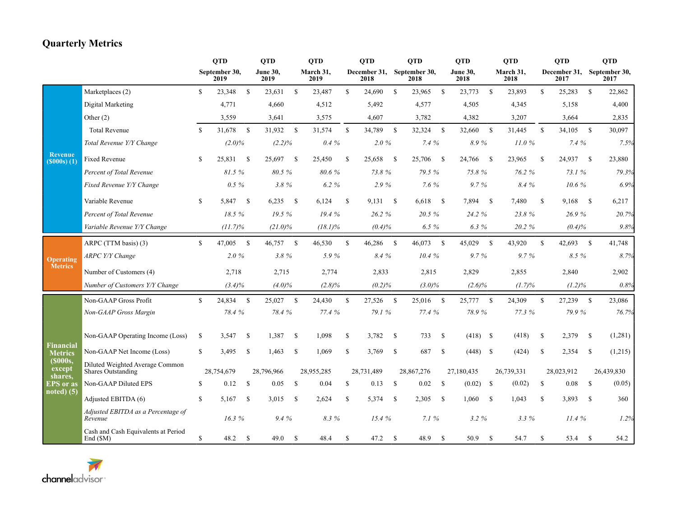## **Quarterly Metrics**

|                                 |                                                              |              | <b>QTD</b>            |               | <b>QTD</b>              |               | <b>QTD</b>        |              | <b>QTD</b>           |               | <b>QTD</b>             |               | <b>QTD</b>              |               | <b>QTD</b>        |               | <b>QTD</b>                         |               | <b>QTD</b> |
|---------------------------------|--------------------------------------------------------------|--------------|-----------------------|---------------|-------------------------|---------------|-------------------|--------------|----------------------|---------------|------------------------|---------------|-------------------------|---------------|-------------------|---------------|------------------------------------|---------------|------------|
|                                 |                                                              |              | September 30,<br>2019 |               | <b>June 30,</b><br>2019 |               | March 31,<br>2019 |              | December 31,<br>2018 |               | September 30,<br>2018  |               | <b>June 30,</b><br>2018 |               | March 31,<br>2018 |               | December 31, September 30,<br>2017 |               | 2017       |
|                                 | Marketplaces (2)                                             | S.           | 23,348                | <sup>S</sup>  | 23,631                  | $\mathbb{S}$  | 23,487            | $\mathbb{S}$ | 24,690               | - \$          | 23,965<br>$\mathbf{s}$ |               | 23,773                  | <sup>\$</sup> | 23,893            | $\mathbb{S}$  | 25,283                             | <sup>\$</sup> | 22,862     |
|                                 | Digital Marketing                                            |              | 4,771                 |               | 4,660                   |               | 4,512             |              | 5,492                |               | 4,577                  |               | 4,505                   |               | 4,345             |               | 5,158                              |               | 4,400      |
|                                 | Other $(2)$                                                  |              | 3,559                 |               | 3,641                   |               | 3,575             |              | 4,607                |               | 3,782                  |               | 4,382                   |               | 3,207             |               | 3,664                              |               | 2,835      |
|                                 | <b>Total Revenue</b>                                         | S.           | 31,678                | <sup>\$</sup> | 31,932                  | - \$          | 31,574            | $\mathbb{S}$ | 34,789               | $\mathbf s$   | 32,324                 | <sup>S</sup>  | 32,660                  | <sup>\$</sup> | 31,445            | <sup>\$</sup> | 34,105                             | <sup>\$</sup> | 30,097     |
|                                 | Total Revenue Y/Y Change                                     |              | $(2.0)\%$             |               | $(2.2)\%$               |               | $0.4\%$           |              | $2.0\%$              |               | 7.4%                   |               | 8.9%                    |               | 11.0%             |               | 7.4%                               |               | 7.5%       |
| <b>Revenue</b><br>$(5000s)$ (1) | <b>Fixed Revenue</b>                                         | S            | 25,831                | - \$          | 25,697                  | <b>S</b>      | 25,450            | \$           | 25,658               | - \$          | 25,706<br>- \$         |               | 24,766                  | - \$          | 23,965            | -S            | 24,937                             | -S            | 23,880     |
|                                 | Percent of Total Revenue                                     |              | 81.5 %                |               | 80.5 %                  |               | 80.6%             |              | 73.8%                |               | 79.5 %                 |               | 75.8%                   |               | 76.2 %            |               | 73.1 %                             |               | 79.3%      |
|                                 | Fixed Revenue Y/Y Change                                     |              | $0.5 \%$              |               | 3.8%                    |               | 6.2%              |              | 2.9%                 |               | 7.6%                   |               | $9.7\%$                 |               | 8.4%              |               | 10.6%                              |               | 6.9%       |
|                                 | Variable Revenue                                             | S.           | 5,847                 | -S            | 6,235                   | $\mathbf{s}$  | 6,124             | \$           | 9,131                | -S            | 6,618                  | -S            | 7,894                   | -S            | 7,480             | <sup>\$</sup> | 9,168                              | -S            | 6,217      |
|                                 | Percent of Total Revenue                                     |              | 18.5%                 |               | 19.5%                   |               | 19.4%             |              | 26.2 %               |               | 20.5%                  |               | 24.2 %                  |               | 23.8%             |               | 26.9%                              |               | 20.7%      |
|                                 | Variable Revenue Y/Y Change                                  |              | $(11.7)\%$            |               | $(21.0)\%$              |               | $(18.1)\%$        |              | (0.4)%               |               | $6.5\%$                |               | 6.3%                    |               | 20.2 %            |               | $(0.4)\%$                          |               | 9.8%       |
| <b>Operating</b>                | ARPC (TTM basis) (3)                                         | $\mathbb{S}$ | 47,005                | $\mathbf S$   | 46,757 \$               |               | 46,530            | $\mathbf S$  | 46,286               | - S           | 46,073<br>$\mathbf s$  |               | 45,029                  | <sup>\$</sup> | 43,920            | $\mathbf S$   | 42,693                             | $\mathbf S$   | 41,748     |
|                                 | <b>ARPC Y/Y Change</b>                                       |              | $2.0\%$               |               | 3.8%                    |               | 5.9%              |              | 8.4 %                |               | 10.4%                  |               | $9.7\%$                 |               | 9.7%              |               | 8.5 %                              |               | 8.7%       |
| <b>Metrics</b>                  | Number of Customers (4)                                      |              | 2,718                 |               | 2,715                   |               | 2,774             |              | 2,833                |               | 2,815                  |               | 2,829                   |               | 2,855             |               | 2,840                              |               | 2,902      |
|                                 | Number of Customers Y/Y Change                               | $(3.4)\%$    |                       |               | $(4.0)\%$               |               | $(2.8)\%$         |              | (0.2)%               |               | $(3.0)\%$              |               | $(2.6)\%$               |               | $(1.7)\%$         |               | $(1.2)\%$                          |               | 0.8%       |
|                                 | Non-GAAP Gross Profit                                        | $\mathbf S$  | 24,834                | $\mathbf{s}$  | 25,027                  | $\mathbf{s}$  | 24,430            | $\mathbb{S}$ | 27,526               | - \$          | 25,016<br>$\mathbf{s}$ |               | 25,777 \$               |               | 24,309            | <sup>\$</sup> | 27,239                             | -S            | 23,086     |
|                                 | Non-GAAP Gross Margin                                        |              | $78.4~\%$             |               | 78.4%                   |               | 77.4 %            |              | 79.1 %               |               | 77.4 %                 |               | 78.9%                   |               | 77.3%             |               | 79.9%                              |               | 76.7%      |
|                                 | Non-GAAP Operating Income (Loss)                             | \$           | 3,547                 | \$            | 1,387                   | -S            | 1,098             | \$           | 3,782                | -S            | 733                    | <sup>\$</sup> | $(418)$ \$              |               | (418)             | <sup>\$</sup> | 2,379                              | <sup>\$</sup> | (1,281)    |
| Financial<br><b>Metrics</b>     | Non-GAAP Net Income (Loss)                                   | \$           | 3,495                 | <sup>\$</sup> | 1,463                   | <sup>\$</sup> | 1,069             | \$           | 3,769                | - S           | 687                    | <sup>\$</sup> | $(448)$ \$              |               | (424)             | <sup>\$</sup> | 2,354                              | <sup>\$</sup> | (1,215)    |
| (\$000s,<br>except              | Diluted Weighted Average Common<br><b>Shares Outstanding</b> |              | 28,754,679            |               | 28,796,966              |               | 28,955,285        |              | 28,731,489           |               | 28,867,276             |               | 27,180,435              |               | 26,739,331        |               | 28,023,912                         |               | 26,439,830 |
| shares,<br><b>EPS</b> or as     | Non-GAAP Diluted EPS                                         | \$           | 0.12                  | <sup>\$</sup> | 0.05                    | \$            | 0.04              | \$           | 0.13                 | -S            | $0.02\,$               | <sup>\$</sup> | $(0.02)$ \$             |               | (0.02)            | <sup>\$</sup> | 0.08                               | \$            | (0.05)     |
| $noted$ (5)                     | Adjusted EBITDA (6)                                          | \$           | 5,167                 | <sup>\$</sup> | 3,015                   | -S            | 2,624             | \$           | 5,374                | <sup>\$</sup> | 2,305                  | <sup>\$</sup> | 1,060                   | <sup>\$</sup> | 1,043             | <b>S</b>      | 3,893                              | <sup>\$</sup> | 360        |
|                                 | Adjusted EBITDA as a Percentage of<br>Revenue                |              | 16.3%                 |               | 9.4%                    |               | 8.3%              |              | 15.4%                |               | 7.1%                   |               | 3.2%                    |               | 3.3%              |               | 11.4%                              |               | 1.2%       |
|                                 | Cash and Cash Equivalents at Period<br>End(SM)               | \$           | 48.2                  | <sup>S</sup>  | 49.0                    | -S            | 48.4              | $\mathbf S$  | 47.2                 | <sup>\$</sup> | 48.9                   | <sup>\$</sup> | 50.9                    | <sup>\$</sup> | 54.7              | <b>S</b>      | 53.4                               | <sup>S</sup>  | 54.2       |

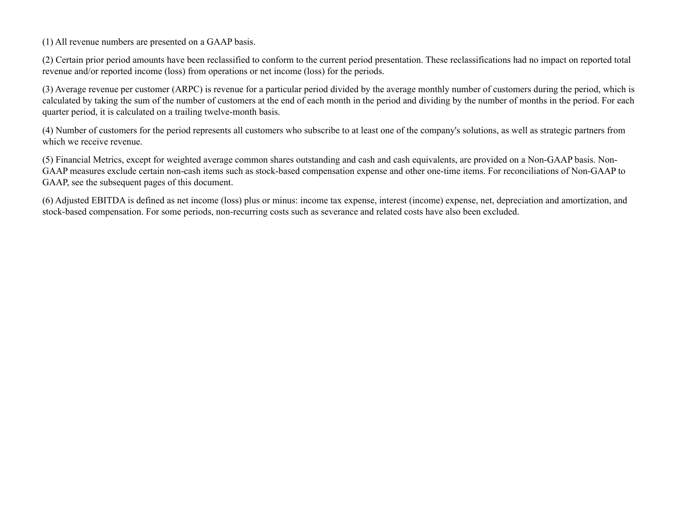(1) All revenue numbers are presented on a GAAP basis.

(2) Certain prior period amounts have been reclassified to conform to the current period presentation. These reclassifications had no impact on reported total revenue and/or reported income (loss) from operations or net income (loss) for the periods.

(3) Average revenue per customer (ARPC) is revenue for a particular period divided by the average monthly number of customers during the period, which is calculated by taking the sum of the number of customers at the end of each month in the period and dividing by the number of months in the period. For each quarter period, it is calculated on a trailing twelve-month basis.

(4) Number of customers for the period represents all customers who subscribe to at least one of the company's solutions, as well as strategic partners from which we receive revenue.

(5) Financial Metrics, except for weighted average common shares outstanding and cash and cash equivalents, are provided on a Non-GAAP basis. Non-GAAP measures exclude certain non-cash items such as stock-based compensation expense and other one-time items. For reconciliations of Non-GAAP to GAAP, see the subsequent pages of this document.

(6) Adjusted EBITDA is defined as net income (loss) plus or minus: income tax expense, interest (income) expense, net, depreciation and amortization, and stock-based compensation. For some periods, non-recurring costs such as severance and related costs have also been excluded.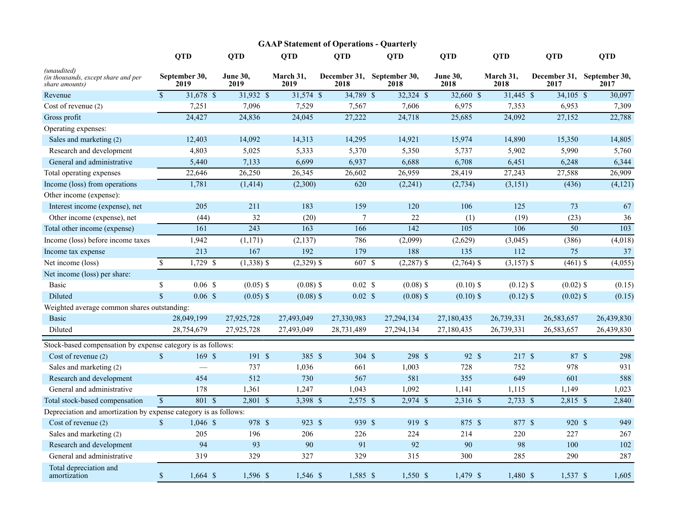| <b>GAAP Statement of Operations - Quarterly</b>                      |                           |                       |                         |                   |                    |                                    |                         |                   |                      |                       |  |  |  |
|----------------------------------------------------------------------|---------------------------|-----------------------|-------------------------|-------------------|--------------------|------------------------------------|-------------------------|-------------------|----------------------|-----------------------|--|--|--|
|                                                                      |                           | <b>QTD</b>            | <b>QTD</b>              | <b>OTD</b>        | <b>OTD</b>         | <b>OTD</b>                         | <b>OTD</b>              | <b>OTD</b>        | <b>OTD</b>           | <b>OTD</b>            |  |  |  |
| (unaudited)<br>(in thousands, except share and per<br>share amounts) |                           | September 30,<br>2019 | <b>June 30.</b><br>2019 | March 31,<br>2019 | 2018               | December 31, September 30,<br>2018 | <b>June 30,</b><br>2018 | March 31,<br>2018 | December 31,<br>2017 | September 30.<br>2017 |  |  |  |
| Revenue                                                              | $\mathbb{S}$              | 31,678 \$             | 31,932 \$               | 31,574 \$         | 34,789 \$          | 32,324 \$                          | 32,660 \$               | 31,445 \$         | $34,105$ \$          | 30,097                |  |  |  |
| Cost of revenue (2)                                                  |                           | 7,251                 | 7,096                   | 7,529             | 7,567              | 7,606                              | 6,975                   | 7,353             | 6,953                | 7,309                 |  |  |  |
| Gross profit                                                         |                           | 24,427                | 24,836                  | 24,045            | 27,222             | 24,718                             | 25,685                  | 24,092            | 27,152               | 22,788                |  |  |  |
| Operating expenses:                                                  |                           |                       |                         |                   |                    |                                    |                         |                   |                      |                       |  |  |  |
| Sales and marketing (2)                                              |                           | 12,403                | 14,092                  | 14,313            | 14,295             | 14,921                             | 15,974                  | 14,890            | 15,350               | 14,805                |  |  |  |
| Research and development                                             |                           | 4,803                 | 5,025                   | 5,333             | 5,370              | 5,350                              | 5,737                   | 5,902             | 5,990                | 5,760                 |  |  |  |
| General and administrative                                           |                           | 5,440                 | 7,133                   | 6,699             | 6,937              | 6,688                              | 6,708                   | 6,451             | 6,248                | 6,344                 |  |  |  |
| Total operating expenses                                             |                           | 22,646                | 26,250                  | 26,345            | 26,602             | 26,959                             | 28,419                  | 27,243            | 27,588               | 26,909                |  |  |  |
| Income (loss) from operations                                        |                           | 1,781                 | (1, 414)                | (2,300)           | 620                | (2,241)                            | (2,734)                 | (3,151)           | (436)                | (4, 121)              |  |  |  |
| Other income (expense):                                              |                           |                       |                         |                   |                    |                                    |                         |                   |                      |                       |  |  |  |
| Interest income (expense), net                                       |                           | 205                   | 211                     | 183               | 159                | 120                                | 106                     | 125               | 73                   | 67                    |  |  |  |
| Other income (expense), net                                          |                           | (44)                  | 32                      | (20)              | $\overline{7}$     | 22                                 | (1)                     | (19)              | (23)                 | 36                    |  |  |  |
| Total other income (expense)                                         |                           | 161                   | $\overline{243}$        | $\overline{163}$  | 166                | 142                                | 105                     | 106               | 50                   | 103                   |  |  |  |
| Income (loss) before income taxes                                    |                           | 1,942                 | (1,171)                 | (2, 137)          | 786                | (2,099)                            | (2,629)                 | (3,045)           | (386)                | (4,018)               |  |  |  |
| Income tax expense                                                   |                           | 213                   | 167                     | 192               | 179                | 188                                | 135                     | 112               | 75                   | 37                    |  |  |  |
| Net income (loss)                                                    | \$                        | $1,729$ \$            | $(1,338)$ \$            | $(2,329)$ \$      | 607 \$             | $(2,287)$ \$                       | $(2,764)$ \$            | $(3,157)$ \$      | $(461)$ \$           | (4,055)               |  |  |  |
| Net income (loss) per share:                                         |                           |                       |                         |                   |                    |                                    |                         |                   |                      |                       |  |  |  |
| Basic                                                                | $\mathbb{S}$              | 0.06 S                | $(0.05)$ \$             | $(0.08)$ \$       | $0.02 \text{ }$ \$ | $(0.08)$ \$                        | $(0.10)$ \$             | $(0.12)$ \$       | $(0.02)$ \$          | (0.15)                |  |  |  |
| Diluted                                                              | $\mathbf{\hat{S}}$        | $0.06$ \$             | $(0.05)$ \$             | $(0.08)$ \$       | $0.02 \text{ }$ \$ | $(0.08)$ \$                        | $(0.10)$ \$             | $(0.12)$ \$       | $(0.02)$ \$          | (0.15)                |  |  |  |
| Weighted average common shares outstanding:                          |                           |                       |                         |                   |                    |                                    |                         |                   |                      |                       |  |  |  |
| Basic                                                                |                           | 28,049,199            | 27,925,728              | 27,493,049        | 27,330,983         | 27,294,134                         | 27,180,435              | 26,739,331        | 26,583,657           | 26,439,830            |  |  |  |
| Diluted                                                              |                           | 28,754,679            | 27,925,728              | 27,493,049        | 28,731,489         | 27,294,134                         | 27,180,435              | 26,739,331        | 26,583,657           | 26,439,830            |  |  |  |
| Stock-based compensation by expense category is as follows:          |                           |                       |                         |                   |                    |                                    |                         |                   |                      |                       |  |  |  |
| Cost of revenue (2)                                                  | $\mathsf{\$}$             | 169S                  | 191S                    | 385 \$            | 304 \$             | 298 \$                             | 92 \$                   | 217S              | 87 \$                | 298                   |  |  |  |
| Sales and marketing (2)                                              |                           |                       | 737                     | 1,036             | 661                | 1,003                              | 728                     | 752               | 978                  | 931                   |  |  |  |
| Research and development                                             |                           | 454                   | 512                     | 730               | 567                | 581                                | 355                     | 649               | 601                  | 588                   |  |  |  |
| General and administrative                                           |                           | 178                   | 1,361                   | 1,247             | 1,043              | 1,092                              | 1,141                   | 1,115             | 1,149                | 1,023                 |  |  |  |
| Total stock-based compensation                                       | $\mathcal{S}$             | 801S                  | $2,801$ \$              | 3,398 \$          | $2,575$ \$         | $2,974$ \$                         | 2,316 \$                | $2,733$ \$        | 2,815 \$             | 2,840                 |  |  |  |
| Depreciation and amortization by expense category is as follows:     |                           |                       |                         |                   |                    |                                    |                         |                   |                      |                       |  |  |  |
| Cost of revenue (2)                                                  | $\mathbb{S}$              | $1,046$ \$            | 978 \$                  | 923 \$            | 939 \$             | 919 \$                             | 875 \$                  | 877 \$            | 920 \$               | 949                   |  |  |  |
| Sales and marketing (2)                                              |                           | 205                   | 196                     | 206               | 226                | 224                                | 214                     | 220               | 227                  | 267                   |  |  |  |
| Research and development                                             |                           | 94                    | 93                      | 90                | 91                 | 92                                 | 90                      | 98                | 100                  | 102                   |  |  |  |
| General and administrative                                           |                           | 319                   | 329                     | 327               | 329                | 315                                | 300                     | 285               | 290                  | 287                   |  |  |  |
| Total depreciation and<br>amortization                               | $\boldsymbol{\mathsf{S}}$ | $1,664$ \$            | 1,596 \$                | 1,546 \$          | 1,585 \$           | $1,550$ \$                         | 1,479 \$                | 1,480 \$          | $1,537$ \$           | 1,605                 |  |  |  |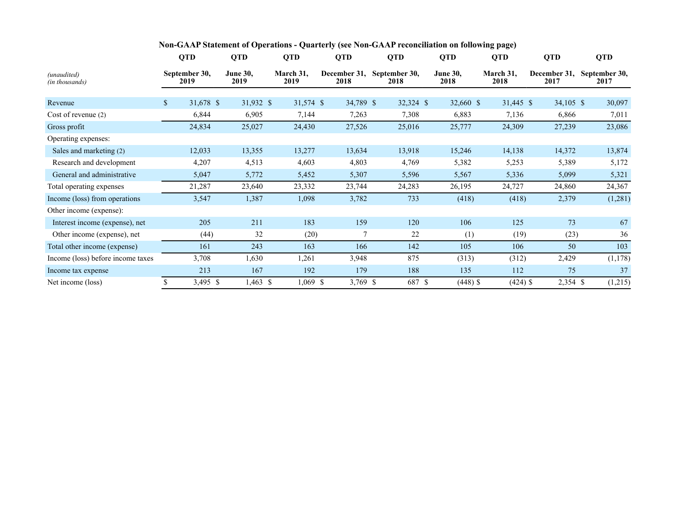|                                   |              | <b>QTD</b>            | <b>QTD</b>              | <b>QTD</b>        | <b>QTD</b>           | <b>QTD</b>            | <b>QTD</b>              | <b>QTD</b>        | <b>QTD</b>           | <b>QTD</b>            |
|-----------------------------------|--------------|-----------------------|-------------------------|-------------------|----------------------|-----------------------|-------------------------|-------------------|----------------------|-----------------------|
| (unaudited)<br>(in thousands)     |              | September 30,<br>2019 | <b>June 30,</b><br>2019 | March 31,<br>2019 | December 31,<br>2018 | September 30,<br>2018 | <b>June 30,</b><br>2018 | March 31,<br>2018 | December 31,<br>2017 | September 30,<br>2017 |
| Revenue                           | $\mathbb{S}$ | 31,678 \$             | 31,932 \$               | 31,574 \$         | 34,789 \$            | 32,324 \$             | 32,660 \$               | 31,445 \$         | 34,105 \$            | 30,097                |
| Cost of revenue (2)               |              | 6,844                 | 6,905                   | 7,144             | 7,263                | 7,308                 | 6,883                   | 7,136             | 6,866                | 7,011                 |
| Gross profit                      |              | 24,834                | 25,027                  | 24,430            | 27,526               | 25,016                | 25,777                  | 24,309            | 27,239               | 23,086                |
| Operating expenses:               |              |                       |                         |                   |                      |                       |                         |                   |                      |                       |
| Sales and marketing (2)           |              | 12,033                | 13,355                  | 13,277            | 13,634               | 13,918                | 15,246                  | 14,138            | 14,372               | 13,874                |
| Research and development          |              | 4,207                 | 4,513                   | 4,603             | 4,803                | 4,769                 | 5,382                   | 5,253             | 5,389                | 5,172                 |
| General and administrative        |              | 5,047                 | 5,772                   | 5,452             | 5,307                | 5,596                 | 5,567                   | 5,336             | 5,099                | 5,321                 |
| Total operating expenses          |              | 21,287                | 23,640                  | 23,332            | 23,744               | 24,283                | 26,195                  | 24,727            | 24,860               | 24,367                |
| Income (loss) from operations     |              | 3,547                 | 1,387                   | 1,098             | 3,782                | 733                   | (418)                   | (418)             | 2,379                | (1,281)               |
| Other income (expense):           |              |                       |                         |                   |                      |                       |                         |                   |                      |                       |
| Interest income (expense), net    |              | 205                   | 211                     | 183               | 159                  | 120                   | 106                     | 125               | 73                   | 67                    |
| Other income (expense), net       |              | (44)                  | 32                      | (20)              |                      | 22                    | (1)                     | (19)              | (23)                 | 36                    |
| Total other income (expense)      |              | 161                   | 243                     | 163               | 166                  | 142                   | 105                     | 106               | 50                   | 103                   |
| Income (loss) before income taxes |              | 3,708                 | 1,630                   | 1,261             | 3,948                | 875                   | (313)                   | (312)             | 2,429                | (1, 178)              |
| Income tax expense                |              | 213                   | 167                     | 192               | 179                  | 188                   | 135                     | 112               | 75                   | 37                    |
| Net income (loss)                 | \$           | 3,495 \$              | $1,463$ \$              | $1,069$ \$        | 3,769 \$             | 687 \$                | $(448)$ \$              | $(424)$ \$        | 2,354 \$             | (1,215)               |

## **Non-GAAP Statement of Operations - Quarterly (see Non-GAAP reconciliation on following page)**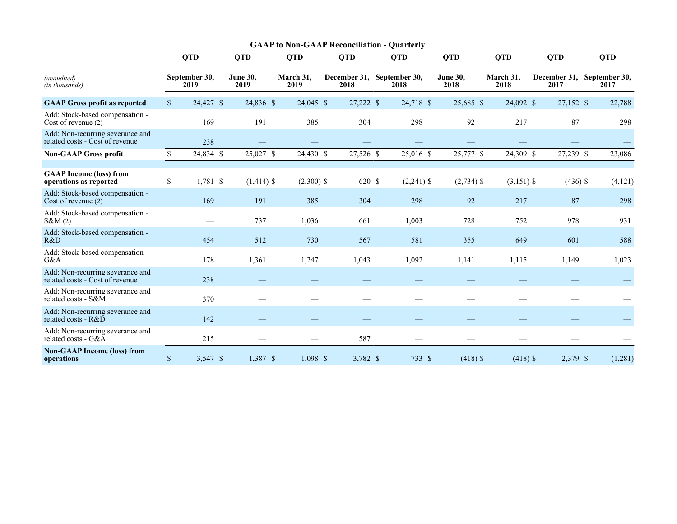|                                                                     | <b>GAAP to Non-GAAP Reconciliation - Quarterly</b> |                       |                         |                   |  |                                    |  |              |                         |                   |                                    |            |            |
|---------------------------------------------------------------------|----------------------------------------------------|-----------------------|-------------------------|-------------------|--|------------------------------------|--|--------------|-------------------------|-------------------|------------------------------------|------------|------------|
|                                                                     |                                                    | <b>QTD</b>            | <b>QTD</b>              | <b>QTD</b>        |  | <b>QTD</b>                         |  | <b>QTD</b>   | <b>QTD</b>              | <b>QTD</b>        | <b>QTD</b>                         |            | <b>QTD</b> |
| (unaudited)<br>(in thousands)                                       |                                                    | September 30,<br>2019 | <b>June 30,</b><br>2019 | March 31,<br>2019 |  | December 31, September 30,<br>2018 |  | 2018         | <b>June 30,</b><br>2018 | March 31,<br>2018 | December 31, September 30,<br>2017 |            | 2017       |
| <b>GAAP Gross profit as reported</b>                                | $\mathbb{S}$                                       | 24,427 \$             | 24,836 \$               | 24,045 \$         |  | 27,222 \$                          |  | 24,718 \$    | 25,685 \$               | 24,092 \$         | 27,152 \$                          |            | 22,788     |
| Add: Stock-based compensation -<br>Cost of revenue (2)              |                                                    | 169                   | 191                     | 385               |  | 304                                |  | 298          | 92                      | 217               | 87                                 |            | 298        |
| Add: Non-recurring severance and<br>related costs - Cost of revenue |                                                    | 238                   |                         |                   |  |                                    |  |              |                         |                   |                                    |            |            |
| <b>Non-GAAP Gross profit</b>                                        | \$                                                 | 24,834 \$             | 25,027 \$               | 24,430 \$         |  | 27,526 \$                          |  | 25,016 \$    | 25,777 \$               | 24,309 \$         | 27,239 \$                          |            | 23,086     |
| <b>GAAP Income (loss) from</b><br>operations as reported            | $\mathbb{S}$                                       | 1,781 \$              | $(1,414)$ \$            | $(2,300)$ \$      |  | 620 \$                             |  | $(2,241)$ \$ | $(2,734)$ \$            | $(3,151)$ \$      |                                    | $(436)$ \$ | (4, 121)   |
| Add: Stock-based compensation -<br>Cost of revenue (2)              |                                                    | 169                   | 191                     | 385               |  | 304                                |  | 298          | 92                      | 217               | 87                                 |            | 298        |
| Add: Stock-based compensation -<br>S&M(2)                           |                                                    |                       | 737                     | 1,036             |  | 661                                |  | 1,003        | 728                     | 752               | 978                                |            | 931        |
| Add: Stock-based compensation -<br>R&D                              |                                                    | 454                   | 512                     | 730               |  | 567                                |  | 581          | 355                     | 649               | 601                                |            | 588        |
| Add: Stock-based compensation -<br>G&A                              |                                                    | 178                   | 1,361                   | 1,247             |  | 1,043                              |  | 1,092        | 1,141                   | 1,115             | 1,149                              |            | 1,023      |
| Add: Non-recurring severance and<br>related costs - Cost of revenue |                                                    | 238                   |                         |                   |  |                                    |  |              |                         |                   |                                    |            |            |
| Add: Non-recurring severance and<br>related costs - S&M             |                                                    | 370                   |                         |                   |  |                                    |  |              |                         |                   |                                    |            |            |
| Add: Non-recurring severance and<br>related costs - $R&D$           |                                                    | 142                   |                         |                   |  |                                    |  |              |                         |                   |                                    |            |            |
| Add: Non-recurring severance and<br>related costs - G&A             |                                                    | 215                   |                         |                   |  | 587                                |  |              |                         |                   |                                    |            |            |
| <b>Non-GAAP Income (loss) from</b><br>operations                    | \$                                                 | 3,547 \$              | 1,387 \$                | 1,098 \$          |  | 3,782 \$                           |  | 733 \$       | $(418)$ \$              | $(418)$ \$        | 2,379 \$                           |            | (1,281)    |